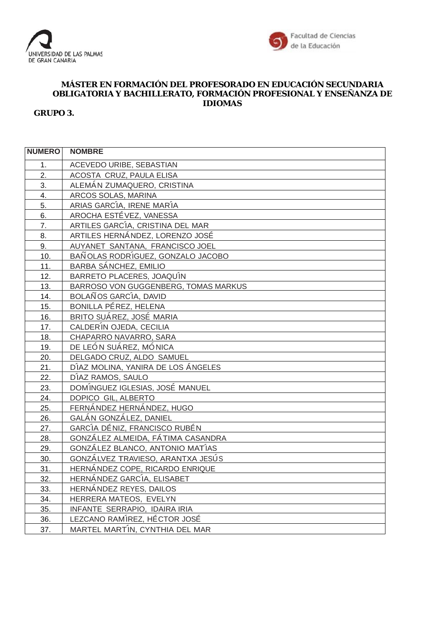



## **MÁSTER EN FORMACIÓN DEL PROFESORADO EN EDUCACIÓN SECUNDARIA OBLIGATORIA Y BACHILLERATO, FORMACIÓN PROFESIONAL Y ENSEÑANZA DE IDIOMAS**

**GRUPO 3.**

| <b>NUMERO</b>  | <b>NOMBRE</b>                        |
|----------------|--------------------------------------|
| 1 <sub>1</sub> | ACEVEDO URIBE, SEBASTIAN             |
| 2.             | ACOSTA CRUZ, PAULA ELISA             |
| 3.             | ALEMÁN ZUMAQUERO, CRISTINA           |
| 4.             | ARCOS SOLAS, MARINA                  |
| 5.             | ARIAS GARCÍA, IRENE MARÍA            |
| 6.             | AROCHA ESTÉVEZ, VANESSA              |
| 7.             | ARTILES GARCÍA, CRISTINA DEL MAR     |
| 8.             | ARTILES HERNÁNDEZ, LORENZO JOSÉ      |
| 9.             | AUYANET SANTANA, FRANCISCO JOEL      |
| 10.            | BAÑOLAS RODRÍGUEZ, GONZALO JACOBO    |
| 11.            | BARBA SÁNCHEZ, EMILIO                |
| 12.            | BARRETO PLACERES, JOAQUÍN            |
| 13.            | BARROSO VON GUGGENBERG, TOMAS MARKUS |
| 14.            | BOLAÑOS GARCÍA, DAVID                |
| 15.            | BONILLA PÉREZ, HELENA                |
| 16.            | BRITO SUÁREZ, JOSÉ MARIA             |
| 17.            | CALDERÍN OJEDA, CECILIA              |
| 18.            | CHAPARRO NAVARRO, SARA               |
| 19.            | DE LEÓN SUÁREZ, MÓNICA               |
| 20.            | DELGADO CRUZ, ALDO SAMUEL            |
| 21.            | DÍAZ MOLINA, YANIRA DE LOS ÁNGELES   |
| 22.            | DÍAZ RAMOS, SAULO                    |
| 23.            | DOMÍNGUEZ IGLESIAS, JOSÉ MANUEL      |
| 24.            | <b>DOPICO GIL, ALBERTO</b>           |
| 25.            | FERNÁNDEZ HERNÁNDEZ, HUGO            |
| 26.            | GALÁN GONZÁLEZ, DANIEL               |
| 27.            | GARCÍA DÉNIZ, FRANCISCO RUBÉN        |
| 28.            | GONZÁLEZ ALMEIDA, FÁTIMA CASANDRA    |
| 29.            | GONZÁLEZ BLANCO, ANTONIO MATÍAS      |
| 30.            | GONZÁLVEZ TRAVIESO, ARANTXA JESÚS    |
| 31.            | HERNÁNDEZ COPE, RICARDO ENRIQUE      |
| 32.            | HERNÁNDEZ GARCÍA, ELISABET           |
| 33.            | HERNÁNDEZ REYES, DAILOS              |
| 34.            | HERRERA MATEOS, EVELYN               |
| 35.            | INFANTE SERRAPIO, IDAIRA IRIA        |
| 36.            | LEZCANO RAMÍREZ, HÉCTOR JOSÉ         |
| 37.            | MARTEL MARTÍN, CYNTHIA DEL MAR       |